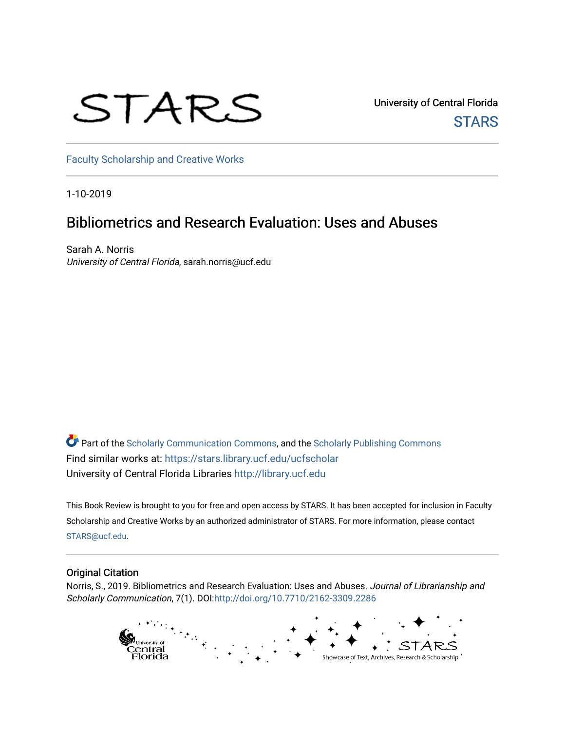# STARS

University of Central Florida **STARS** 

[Faculty Scholarship and Creative Works](https://stars.library.ucf.edu/ucfscholar) 

1-10-2019

### Bibliometrics and Research Evaluation: Uses and Abuses

Sarah A. Norris University of Central Florida, sarah.norris@ucf.edu

Part of the [Scholarly Communication Commons,](http://network.bepress.com/hgg/discipline/1272?utm_source=stars.library.ucf.edu%2Fucfscholar%2F761&utm_medium=PDF&utm_campaign=PDFCoverPages) and the [Scholarly Publishing Commons](http://network.bepress.com/hgg/discipline/1273?utm_source=stars.library.ucf.edu%2Fucfscholar%2F761&utm_medium=PDF&utm_campaign=PDFCoverPages) Find similar works at: <https://stars.library.ucf.edu/ucfscholar> University of Central Florida Libraries [http://library.ucf.edu](http://library.ucf.edu/) 

This Book Review is brought to you for free and open access by STARS. It has been accepted for inclusion in Faculty Scholarship and Creative Works by an authorized administrator of STARS. For more information, please contact [STARS@ucf.edu](mailto:STARS@ucf.edu).

#### Original Citation

Norris, S., 2019. Bibliometrics and Research Evaluation: Uses and Abuses. Journal of Librarianship and Scholarly Communication, 7(1). DOI[:http://doi.org/10.7710/2162-3309.2286](http://doi.org/10.7710/2162-3309.2286) 

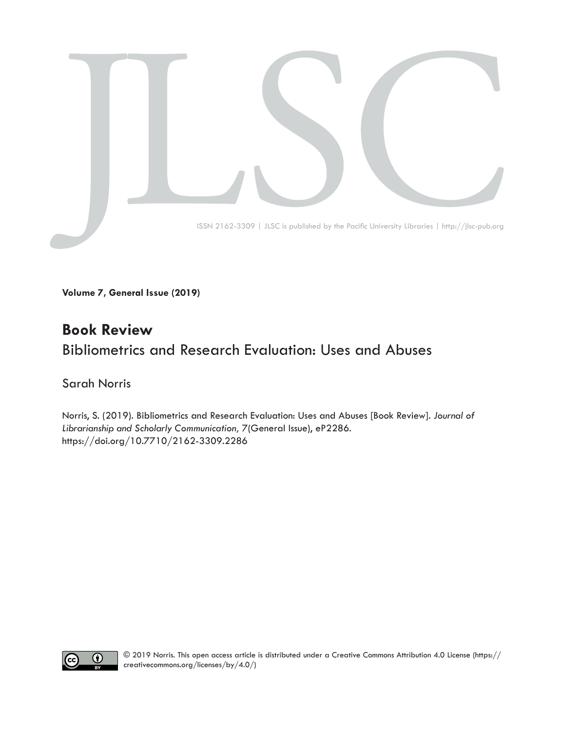

**Volume 7, General Issue (2019)**

#### **Book Review** Bibliometrics and Research Evaluation: Uses and Abuses

#### Sarah Norris

Norris, S. (2019). Bibliometrics and Research Evaluation: Uses and Abuses [Book Review]. *Journal of Librarianship and Scholarly Communication,* 7(General Issue), eP2286. [https://doi.org/10.7710/2162-3309.2](https://doi.org/10.7710/2162-3309.2264)286

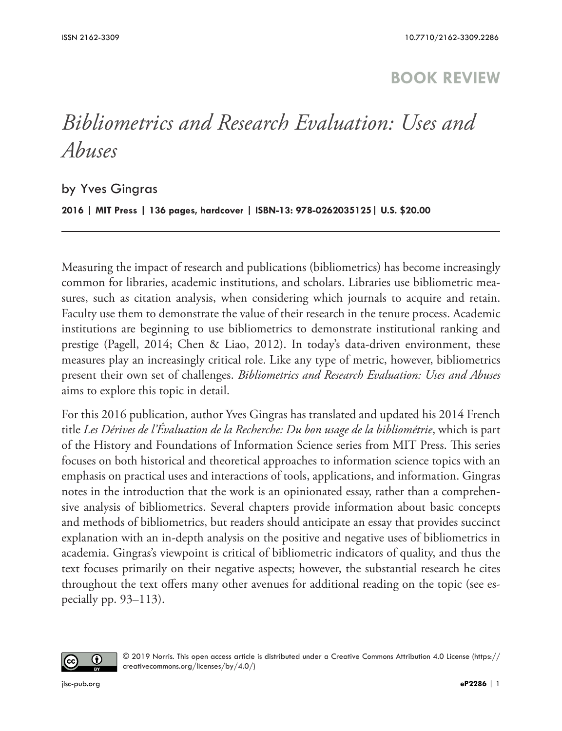#### **BOOK REVIEW**

## *Bibliometrics and Research Evaluation: Uses and Abuses*

by Yves Gingras

**2016 | MIT Press | 136 pages, hardcover | ISBN-13: 978-0262035125| U.S. \$20.00**

Measuring the impact of research and publications (bibliometrics) has become increasingly common for libraries, academic institutions, and scholars. Libraries use bibliometric measures, such as citation analysis, when considering which journals to acquire and retain. Faculty use them to demonstrate the value of their research in the tenure process. Academic institutions are beginning to use bibliometrics to demonstrate institutional ranking and prestige (Pagell, 2014; Chen & Liao, 2012). In today's data-driven environment, these measures play an increasingly critical role. Like any type of metric, however, bibliometrics present their own set of challenges. *Bibliometrics and Research Evaluation: Uses and Abuses* aims to explore this topic in detail.

For this 2016 publication, author Yves Gingras has translated and updated his 2014 French title *Les Dérives de l'Évaluation de la Recherche: Du bon usage de la bibliométrie*, which is part of the History and Foundations of Information Science series from MIT Press. This series focuses on both historical and theoretical approaches to information science topics with an emphasis on practical uses and interactions of tools, applications, and information. Gingras notes in the introduction that the work is an opinionated essay, rather than a comprehensive analysis of bibliometrics. Several chapters provide information about basic concepts and methods of bibliometrics, but readers should anticipate an essay that provides succinct explanation with an in-depth analysis on the positive and negative uses of bibliometrics in academia. Gingras's viewpoint is critical of bibliometric indicators of quality, and thus the text focuses primarily on their negative aspects; however, the substantial research he cites throughout the text offers many other avenues for additional reading on the topic (see especially pp. 93–113).



<sup>© 2019</sup> Norris. This open access article is distributed under a Creative Commons Attribution 4.0 License ([https://](https://creativecommons.org/licenses/by/4.0/) [creativecommons.org/licenses/by/4.0/](https://creativecommons.org/licenses/by/4.0/))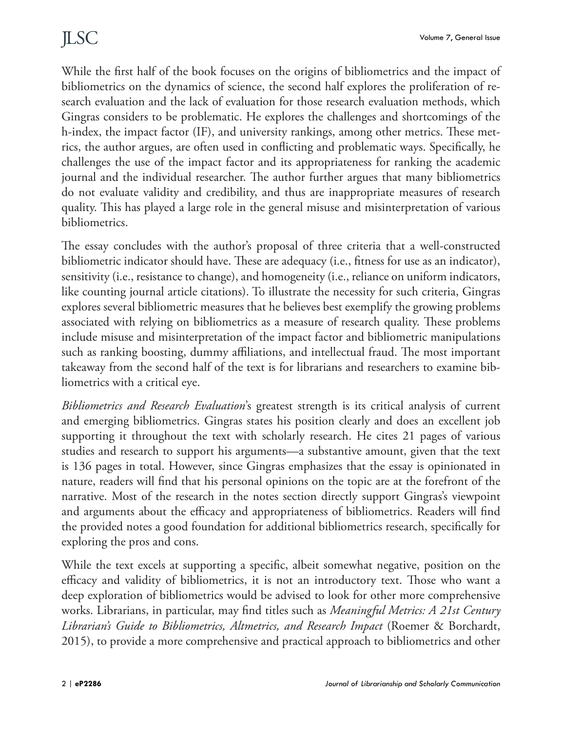While the first half of the book focuses on the origins of bibliometrics and the impact of bibliometrics on the dynamics of science, the second half explores the proliferation of research evaluation and the lack of evaluation for those research evaluation methods, which Gingras considers to be problematic. He explores the challenges and shortcomings of the h-index, the impact factor (IF), and university rankings, among other metrics. These metrics, the author argues, are often used in conflicting and problematic ways. Specifically, he challenges the use of the impact factor and its appropriateness for ranking the academic journal and the individual researcher. The author further argues that many bibliometrics do not evaluate validity and credibility, and thus are inappropriate measures of research quality. This has played a large role in the general misuse and misinterpretation of various bibliometrics.

The essay concludes with the author's proposal of three criteria that a well-constructed bibliometric indicator should have. These are adequacy (i.e., fitness for use as an indicator), sensitivity (i.e., resistance to change), and homogeneity (i.e., reliance on uniform indicators, like counting journal article citations). To illustrate the necessity for such criteria, Gingras explores several bibliometric measures that he believes best exemplify the growing problems associated with relying on bibliometrics as a measure of research quality. These problems include misuse and misinterpretation of the impact factor and bibliometric manipulations such as ranking boosting, dummy affiliations, and intellectual fraud. The most important takeaway from the second half of the text is for librarians and researchers to examine bibliometrics with a critical eye.

*Bibliometrics and Research Evaluation*'s greatest strength is its critical analysis of current and emerging bibliometrics. Gingras states his position clearly and does an excellent job supporting it throughout the text with scholarly research. He cites 21 pages of various studies and research to support his arguments—a substantive amount, given that the text is 136 pages in total. However, since Gingras emphasizes that the essay is opinionated in nature, readers will find that his personal opinions on the topic are at the forefront of the narrative. Most of the research in the notes section directly support Gingras's viewpoint and arguments about the efficacy and appropriateness of bibliometrics. Readers will find the provided notes a good foundation for additional bibliometrics research, specifically for exploring the pros and cons.

While the text excels at supporting a specific, albeit somewhat negative, position on the efficacy and validity of bibliometrics, it is not an introductory text. Those who want a deep exploration of bibliometrics would be advised to look for other more comprehensive works. Librarians, in particular, may find titles such as *Meaningful Metrics: A 21st Century Librarian's Guide to Bibliometrics, Altmetrics, and Research Impact* (Roemer & Borchardt, 2015), to provide a more comprehensive and practical approach to bibliometrics and other